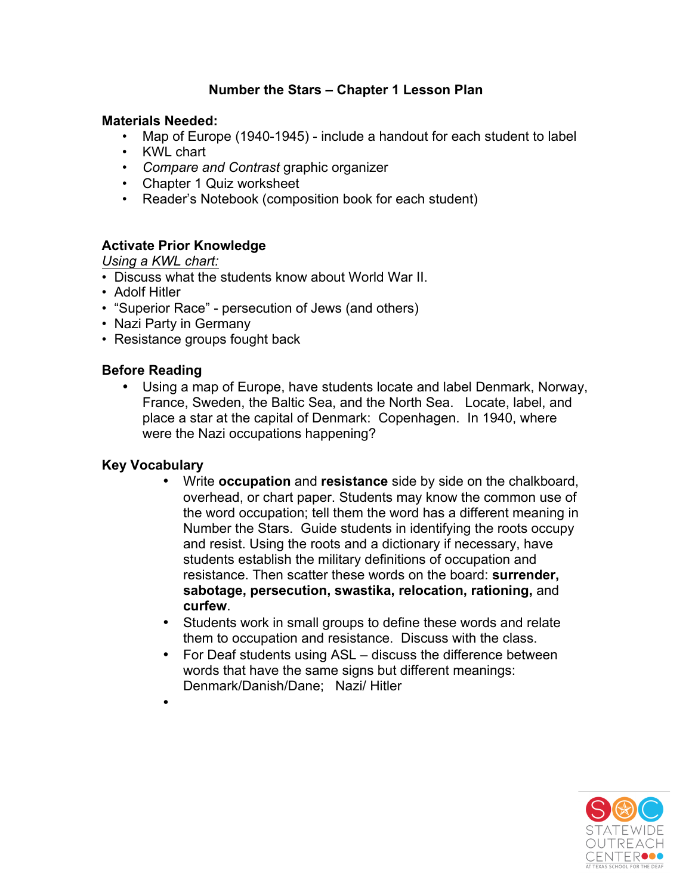# **Number the Stars – Chapter 1 Lesson Plan**

#### **Materials Needed:**

- Map of Europe (1940-1945) include a handout for each student to label
- KWL chart
- *Compare and Contrast* graphic organizer
- Chapter 1 Quiz worksheet
- Reader's Notebook (composition book for each student)

## **Activate Prior Knowledge**

*Using a KWL chart:* 

- Discuss what the students know about World War II.
- Adolf Hitler
- "Superior Race" persecution of Jews (and others)
- Nazi Party in Germany
- Resistance groups fought back

#### **Before Reading**

• Using a map of Europe, have students locate and label Denmark, Norway, France, Sweden, the Baltic Sea, and the North Sea. Locate, label, and place a star at the capital of Denmark: Copenhagen. In 1940, where were the Nazi occupations happening?

## **Key Vocabulary**

•

- Write **occupation** and **resistance** side by side on the chalkboard, overhead, or chart paper. Students may know the common use of the word occupation; tell them the word has a different meaning in Number the Stars. Guide students in identifying the roots occupy and resist. Using the roots and a dictionary if necessary, have students establish the military definitions of occupation and resistance. Then scatter these words on the board: **surrender, sabotage, persecution, swastika, relocation, rationing,** and **curfew**.
- Students work in small groups to define these words and relate them to occupation and resistance. Discuss with the class.
- For Deaf students using ASL discuss the difference between words that have the same signs but different meanings: Denmark/Danish/Dane; Nazi/ Hitler

**FNTFR**OO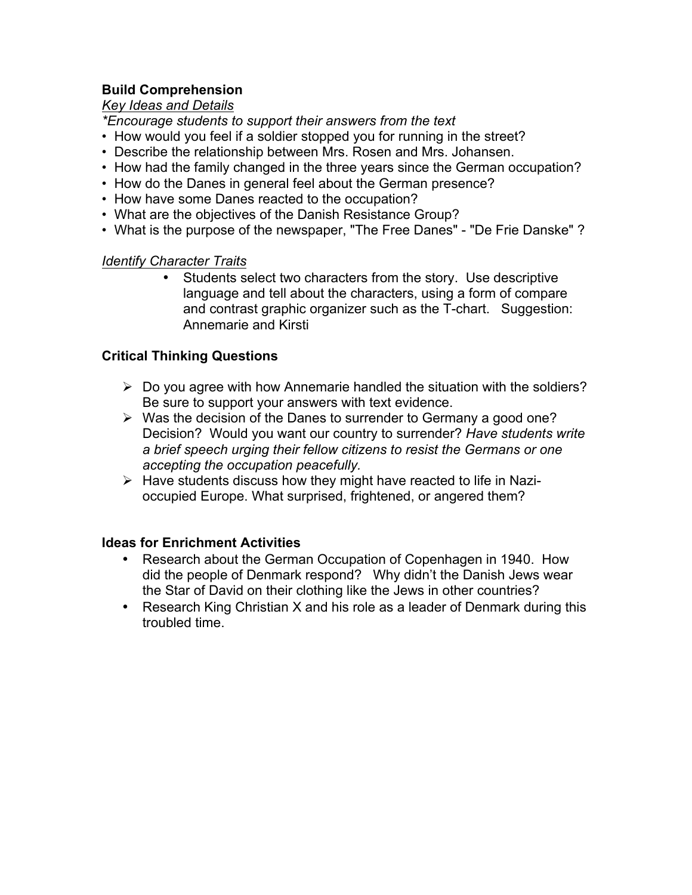## **Build Comprehension**

*Key Ideas and Details* 

*\*Encourage students to support their answers from the text*

- How would you feel if a soldier stopped you for running in the street?
- Describe the relationship between Mrs. Rosen and Mrs. Johansen.
- How had the family changed in the three years since the German occupation?
- How do the Danes in general feel about the German presence?
- How have some Danes reacted to the occupation?
- What are the objectives of the Danish Resistance Group?
- What is the purpose of the newspaper, "The Free Danes" "De Frie Danske" ?

#### *Identify Character Traits*

• Students select two characters from the story. Use descriptive language and tell about the characters, using a form of compare and contrast graphic organizer such as the T-chart. Suggestion: Annemarie and Kirsti

## **Critical Thinking Questions**

- $\triangleright$  Do you agree with how Annemarie handled the situation with the soldiers? Be sure to support your answers with text evidence.
- $\triangleright$  Was the decision of the Danes to surrender to Germany a good one? Decision? Would you want our country to surrender? *Have students write a brief speech urging their fellow citizens to resist the Germans or one accepting the occupation peacefully.*
- $\triangleright$  Have students discuss how they might have reacted to life in Nazioccupied Europe. What surprised, frightened, or angered them?

#### **Ideas for Enrichment Activities**

- Research about the German Occupation of Copenhagen in 1940. How did the people of Denmark respond? Why didn't the Danish Jews wear the Star of David on their clothing like the Jews in other countries?
- Research King Christian X and his role as a leader of Denmark during this troubled time.